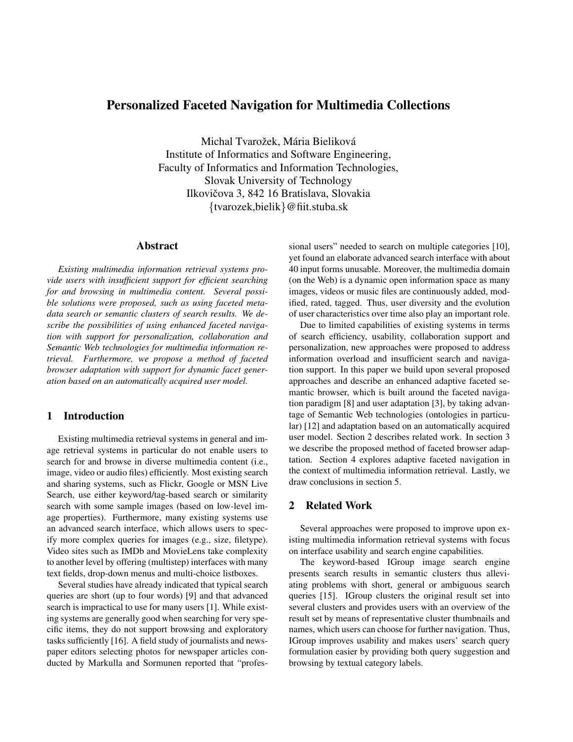# Personalized Faceted Navigation for Multimedia Collections

Michal Tvarožek, Mária Bieliková Institute of Informatics and Software Engineering, Faculty of Informatics and Information Technologies, Slovak University of Technology Ilkovičova 3, 842 16 Bratislava, Slovakia {tvarozek,bielik}@fiit.stuba.sk

#### Abstract

*Existing multimedia information retrieval systems provide users with insufficient support for efficient searching for and browsing in multimedia content. Several possible solutions were proposed, such as using faceted metadata search or semantic clusters of search results. We describe the possibilities of using enhanced faceted navigation with support for personalization, collaboration and Semantic Web technologies for multimedia information retrieval. Furthermore, we propose a method of faceted browser adaptation with support for dynamic facet generation based on an automatically acquired user model.*

### 1 Introduction

Existing multimedia retrieval systems in general and image retrieval systems in particular do not enable users to search for and browse in diverse multimedia content (i.e., image, video or audio files) efficiently. Most existing search and sharing systems, such as Flickr, Google or MSN Live Search, use either keyword/tag-based search or similarity search with some sample images (based on low-level image properties). Furthermore, many existing systems use an advanced search interface, which allows users to specify more complex queries for images (e.g., size, filetype). Video sites such as IMDb and MovieLens take complexity to another level by offering (multistep) interfaces with many text fields, drop-down menus and multi-choice listboxes.

Several studies have already indicated that typical search queries are short (up to four words) [9] and that advanced search is impractical to use for many users [1]. While existing systems are generally good when searching for very specific items, they do not support browsing and exploratory tasks sufficiently [16]. A field study of journalists and newspaper editors selecting photos for newspaper articles conducted by Markulla and Sormunen reported that "professional users" needed to search on multiple categories [10], yet found an elaborate advanced search interface with about 40 input forms unusable. Moreover, the multimedia domain (on the Web) is a dynamic open information space as many images, videos or music files are continuously added, modified, rated, tagged. Thus, user diversity and the evolution of user characteristics over time also play an important role.

Due to limited capabilities of existing systems in terms of search efficiency, usability, collaboration support and personalization, new approaches were proposed to address information overload and insufficient search and navigation support. In this paper we build upon several proposed approaches and describe an enhanced adaptive faceted semantic browser, which is built around the faceted navigation paradigm [8] and user adaptation [3], by taking advantage of Semantic Web technologies (ontologies in particular) [12] and adaptation based on an automatically acquired user model. Section 2 describes related work. In section 3 we describe the proposed method of faceted browser adaptation. Section 4 explores adaptive faceted navigation in the context of multimedia information retrieval. Lastly, we draw conclusions in section 5.

# 2 Related Work

Several approaches were proposed to improve upon existing multimedia information retrieval systems with focus on interface usability and search engine capabilities.

The keyword-based IGroup image search engine presents search results in semantic clusters thus alleviating problems with short, general or ambiguous search queries [15]. IGroup clusters the original result set into several clusters and provides users with an overview of the result set by means of representative cluster thumbnails and names, which users can choose for further navigation. Thus, IGroup improves usability and makes users' search query formulation easier by providing both query suggestion and browsing by textual category labels.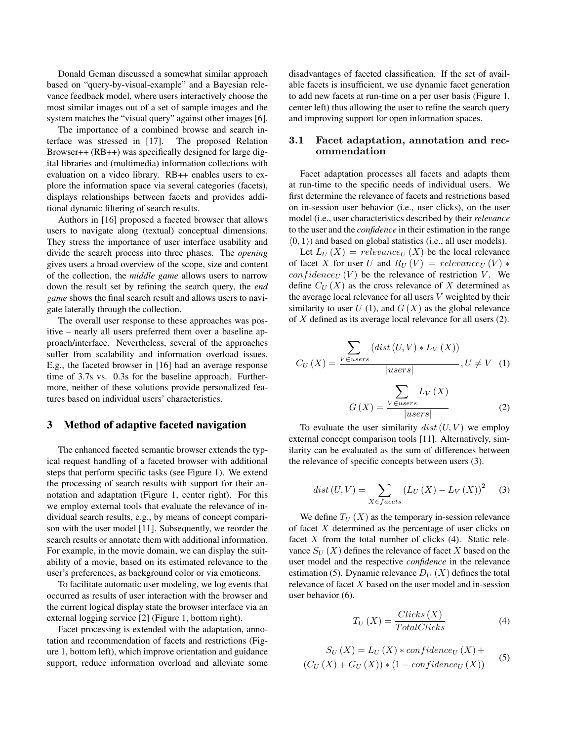Donald Geman discussed a somewhat similar approach based on "query-by-visual-example" and a Bayesian relevance feedback model, where users interactively choose the most similar images out of a set of sample images and the system matches the "visual query" against other images [6].

The importance of a combined browse and search interface was stressed in [17]. The proposed Relation Browser++ (RB++) was specifically designed for large digital libraries and (multimedia) information collections with evaluation on a video library. RB++ enables users to explore the information space via several categories (facets), displays relationships between facets and provides additional dynamic filtering of search results.

Authors in [16] proposed a faceted browser that allows users to navigate along (textual) conceptual dimensions. They stress the importance of user interface usability and divide the search process into three phases. The *opening* gives users a broad overview of the scope, size and content of the collection, the *middle game* allows users to narrow down the result set by refining the search query, the *end game* shows the final search result and allows users to navigate laterally through the collection.

The overall user response to these approaches was positive – nearly all users preferred them over a baseline approach/interface. Nevertheless, several of the approaches suffer from scalability and information overload issues. E.g., the faceted browser in [16] had an average response time of 3.7s vs. 0.3s for the baseline approach. Furthermore, neither of these solutions provide personalized features based on individual users' characteristics.

#### 3 Method of adaptive faceted navigation

The enhanced faceted semantic browser extends the typical request handling of a faceted browser with additional steps that perform specific tasks (see Figure 1). We extend the processing of search results with support for their annotation and adaptation (Figure 1, center right). For this we employ external tools that evaluate the relevance of individual search results, e.g., by means of concept comparison with the user model [11]. Subsequently, we reorder the search results or annotate them with additional information. For example, in the movie domain, we can display the suitability of a movie, based on its estimated relevance to the user's preferences, as background color or via emoticons.

To facilitate automatic user modeling, we log events that occurred as results of user interaction with the browser and the current logical display state the browser interface via an external logging service [2] (Figure 1, bottom right).

Facet processing is extended with the adaptation, annotation and recommendation of facets and restrictions (Figure 1, bottom left), which improve orientation and guidance support, reduce information overload and alleviate some disadvantages of faceted classification. If the set of available facets is insufficient, we use dynamic facet generation to add new facets at run-time on a per user basis (Figure 1, center left) thus allowing the user to refine the search query and improving support for open information spaces.

#### 3.1 Facet adaptation, annotation and recommendation

Facet adaptation processes all facets and adapts them at run-time to the specific needs of individual users. We first determine the relevance of facets and restrictions based on in-session user behavior (i.e., user clicks), on the user model (i.e., user characteristics described by their *relevance* to the user and the *confidence* in their estimation in the range  $\langle 0, 1 \rangle$  and based on global statistics (i.e., all user models).

Let  $L_U(X) = relevance_U(X)$  be the local relevance of facet X for user U and  $R_U(V) = relevance_U(V) *$  $confidence_U (V)$  be the relevance of restriction V. We define  $C_U(X)$  as the cross relevance of X determined as the average local relevance for all users  $V$  weighted by their similarity to user  $U(1)$ , and  $G(X)$  as the global relevance of X defined as its average local relevance for all users (2).

$$
C_U(X) = \frac{\sum_{V \in users} (dist(U, V) * L_V(X))}{|users|} , U \neq V \quad (1)
$$

$$
G(X) = \frac{\sum_{V \in users} L_V(X)}{|users|} \quad (2)
$$

To evaluate the user similarity  $dist(U, V)$  we employ external concept comparison tools [11]. Alternatively, similarity can be evaluated as the sum of differences between the relevance of specific concepts between users (3).

$$
dist\left(U,V\right) = \sum_{X \in facets} \left(L_U\left(X\right) - L_V\left(X\right)\right)^2 \tag{3}
$$

We define  $T_U(X)$  as the temporary in-session relevance of facet X determined as the percentage of user clicks on facet  $X$  from the total number of clicks (4). Static relevance  $S_U(X)$  defines the relevance of facet X based on the user model and the respective *confidence* in the relevance estimation (5). Dynamic relevance  $D_U(X)$  defines the total relevance of facet X based on the user model and in-session user behavior (6).

$$
T_U(X) = \frac{Clicks(X)}{TotalClicks}
$$
 (4)

$$
S_U(X) = L_U(X) * confidence_U(X) +
$$
  
( $C_U(X) + G_U(X)$ ) \* (1 - *confidence*<sub>U</sub>(X)) (5)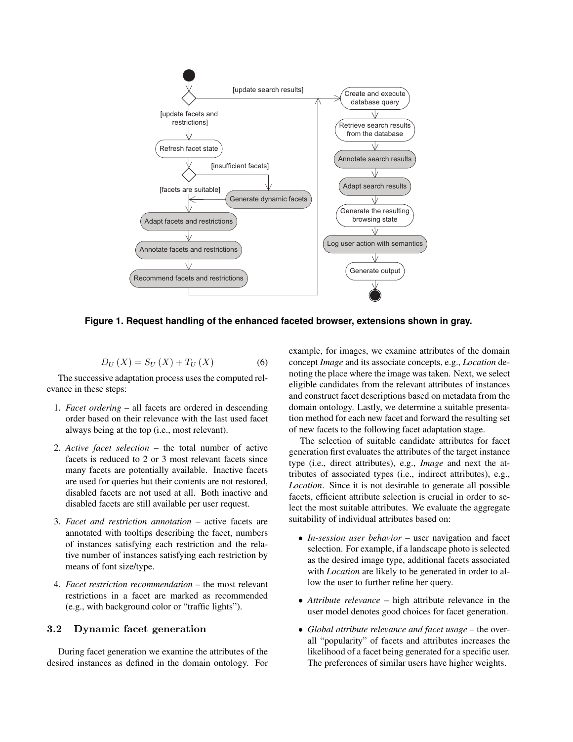

**Figure 1. Request handling of the enhanced faceted browser, extensions shown in gray.**

$$
D_U(X) = S_U(X) + T_U(X) \tag{6}
$$

The successive adaptation process uses the computed relevance in these steps:

- 1. *Facet ordering* all facets are ordered in descending order based on their relevance with the last used facet always being at the top (i.e., most relevant).
- 2. *Active facet selection* the total number of active facets is reduced to 2 or 3 most relevant facets since many facets are potentially available. Inactive facets are used for queries but their contents are not restored, disabled facets are not used at all. Both inactive and disabled facets are still available per user request.
- 3. *Facet and restriction annotation* active facets are annotated with tooltips describing the facet, numbers of instances satisfying each restriction and the relative number of instances satisfying each restriction by means of font size/type.
- 4. *Facet restriction recommendation* the most relevant restrictions in a facet are marked as recommended (e.g., with background color or "traffic lights").

## 3.2 Dynamic facet generation

During facet generation we examine the attributes of the desired instances as defined in the domain ontology. For example, for images, we examine attributes of the domain concept *Image* and its associate concepts, e.g., *Location* denoting the place where the image was taken. Next, we select eligible candidates from the relevant attributes of instances and construct facet descriptions based on metadata from the domain ontology. Lastly, we determine a suitable presentation method for each new facet and forward the resulting set of new facets to the following facet adaptation stage.

The selection of suitable candidate attributes for facet generation first evaluates the attributes of the target instance type (i.e., direct attributes), e.g., *Image* and next the attributes of associated types (i.e., indirect attributes), e.g., *Location*. Since it is not desirable to generate all possible facets, efficient attribute selection is crucial in order to select the most suitable attributes. We evaluate the aggregate suitability of individual attributes based on:

- *In-session user behavior* user navigation and facet selection. For example, if a landscape photo is selected as the desired image type, additional facets associated with *Location* are likely to be generated in order to allow the user to further refine her query.
- *Attribute relevance* high attribute relevance in the user model denotes good choices for facet generation.
- *Global attribute relevance and facet usage* the overall "popularity" of facets and attributes increases the likelihood of a facet being generated for a specific user. The preferences of similar users have higher weights.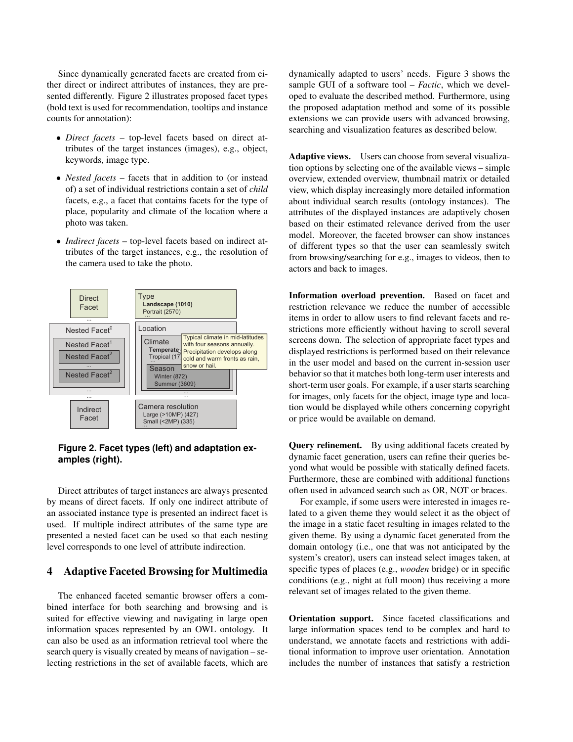Since dynamically generated facets are created from either direct or indirect attributes of instances, they are presented differently. Figure 2 illustrates proposed facet types (bold text is used for recommendation, tooltips and instance counts for annotation):

- *Direct facets* top-level facets based on direct attributes of the target instances (images), e.g., object, keywords, image type.
- *Nested facets* facets that in addition to (or instead of) a set of individual restrictions contain a set of *child* facets, e.g., a facet that contains facets for the type of place, popularity and climate of the location where a photo was taken.
- *Indirect facets* top-level facets based on indirect attributes of the target instances, e.g., the resolution of the camera used to take the photo.



# **Figure 2. Facet types (left) and adaptation examples (right).**

Direct attributes of target instances are always presented by means of direct facets. If only one indirect attribute of an associated instance type is presented an indirect facet is used. If multiple indirect attributes of the same type are presented a nested facet can be used so that each nesting level corresponds to one level of attribute indirection.

# 4 Adaptive Faceted Browsing for Multimedia

The enhanced faceted semantic browser offers a combined interface for both searching and browsing and is suited for effective viewing and navigating in large open information spaces represented by an OWL ontology. It can also be used as an information retrieval tool where the search query is visually created by means of navigation – selecting restrictions in the set of available facets, which are

dynamically adapted to users' needs. Figure 3 shows the sample GUI of a software tool – *Factic*, which we developed to evaluate the described method. Furthermore, using the proposed adaptation method and some of its possible extensions we can provide users with advanced browsing, searching and visualization features as described below.

Adaptive views. Users can choose from several visualization options by selecting one of the available views – simple overview, extended overview, thumbnail matrix or detailed view, which display increasingly more detailed information about individual search results (ontology instances). The attributes of the displayed instances are adaptively chosen based on their estimated relevance derived from the user model. Moreover, the faceted browser can show instances of different types so that the user can seamlessly switch from browsing/searching for e.g., images to videos, then to actors and back to images.

Information overload prevention. Based on facet and restriction relevance we reduce the number of accessible items in order to allow users to find relevant facets and restrictions more efficiently without having to scroll several screens down. The selection of appropriate facet types and displayed restrictions is performed based on their relevance in the user model and based on the current in-session user behavior so that it matches both long-term user interests and short-term user goals. For example, if a user starts searching for images, only facets for the object, image type and location would be displayed while others concerning copyright or price would be available on demand.

**Query refinement.** By using additional facets created by dynamic facet generation, users can refine their queries beyond what would be possible with statically defined facets. Furthermore, these are combined with additional functions often used in advanced search such as OR, NOT or braces.

For example, if some users were interested in images related to a given theme they would select it as the object of the image in a static facet resulting in images related to the given theme. By using a dynamic facet generated from the domain ontology (i.e., one that was not anticipated by the system's creator), users can instead select images taken, at specific types of places (e.g., *wooden* bridge) or in specific conditions (e.g., night at full moon) thus receiving a more relevant set of images related to the given theme.

Orientation support. Since faceted classifications and large information spaces tend to be complex and hard to understand, we annotate facets and restrictions with additional information to improve user orientation. Annotation includes the number of instances that satisfy a restriction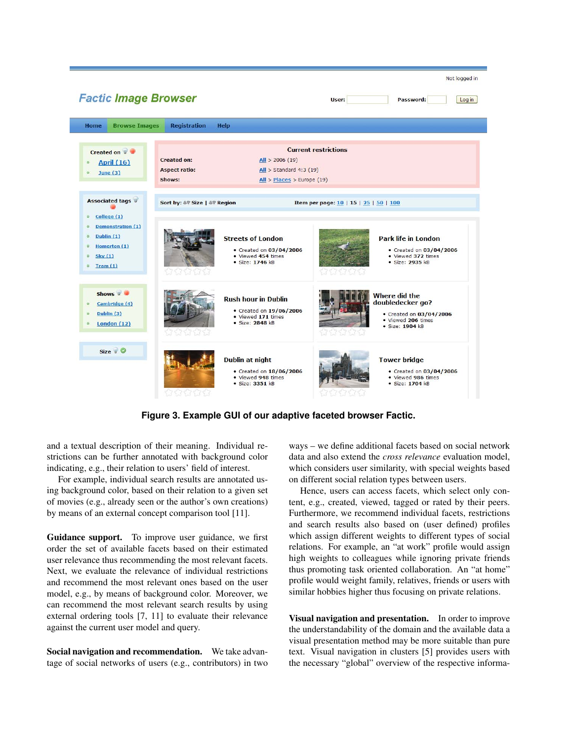

**Figure 3. Example GUI of our adaptive faceted browser Factic.**

and a textual description of their meaning. Individual restrictions can be further annotated with background color indicating, e.g., their relation to users' field of interest.

For example, individual search results are annotated using background color, based on their relation to a given set of movies (e.g., already seen or the author's own creations) by means of an external concept comparison tool [11].

Guidance support. To improve user guidance, we first order the set of available facets based on their estimated user relevance thus recommending the most relevant facets. Next, we evaluate the relevance of individual restrictions and recommend the most relevant ones based on the user model, e.g., by means of background color. Moreover, we can recommend the most relevant search results by using external ordering tools [7, 11] to evaluate their relevance against the current user model and query.

Social navigation and recommendation. We take advantage of social networks of users (e.g., contributors) in two ways – we define additional facets based on social network data and also extend the *cross relevance* evaluation model, which considers user similarity, with special weights based on different social relation types between users.

Hence, users can access facets, which select only content, e.g., created, viewed, tagged or rated by their peers. Furthermore, we recommend individual facets, restrictions and search results also based on (user defined) profiles which assign different weights to different types of social relations. For example, an "at work" profile would assign high weights to colleagues while ignoring private friends thus promoting task oriented collaboration. An "at home" profile would weight family, relatives, friends or users with similar hobbies higher thus focusing on private relations.

Visual navigation and presentation. In order to improve the understandability of the domain and the available data a visual presentation method may be more suitable than pure text. Visual navigation in clusters [5] provides users with the necessary "global" overview of the respective informa-